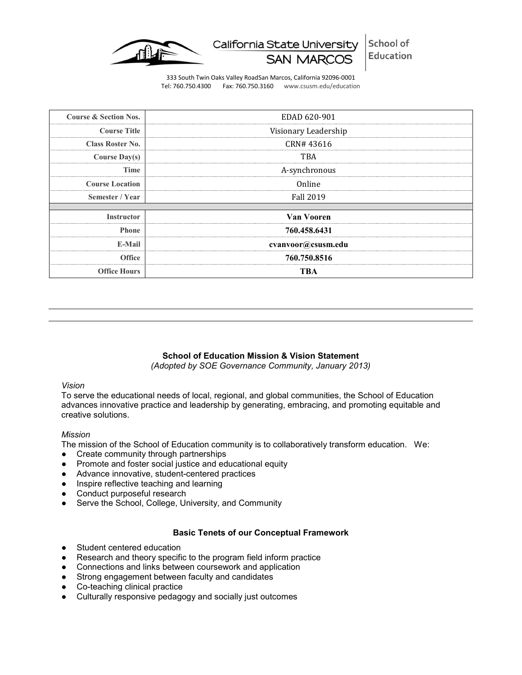

California State University

School of **Education** 

333 South Twin Oaks Valley RoadSan Marcos, California 92096-0001 Tel: 760.750.4300 Fax: 760.750.3160 www.csusm.edu/education

| <b>Course &amp; Section Nos.</b> | EDAD 620-901                                |
|----------------------------------|---------------------------------------------|
| <b>Course Title</b>              | Visionary Leadership                        |
| <b>Class Roster No.</b>          | CRN#43616<br>---------------                |
| Course $Day(s)$                  | TBA                                         |
| Time                             | A-synchronous                               |
| <b>Course Location</b>           | <b>****************</b> *<br>Online         |
| Semester / Year                  | -----------------------<br><b>Fall 2019</b> |
|                                  |                                             |
| <b>Instructor</b>                | Van Vooren                                  |
| <b>Phone</b>                     | 760.458.6431                                |
| E-Mail                           | cvanvoor@csusm.edu                          |
| <b>Office</b>                    | 760.750.8516                                |
| <b>Office Hours</b>              | TBA                                         |

# **School of Education Mission & Vision Statement**

*(Adopted by SOE Governance Community, January 2013)*

## *Vision*

To serve the educational needs of local, regional, and global communities, the School of Education advances innovative practice and leadership by generating, embracing, and promoting equitable and creative solutions.

#### *Mission*

The mission of the School of Education community is to collaboratively transform education. We:

- Create community through partnerships
- Promote and foster social justice and educational equity
- Advance innovative, student-centered practices
- Inspire reflective teaching and learning
- Conduct purposeful research
- Serve the School, College, University, and Community

# **Basic Tenets of our Conceptual Framework**

- Student centered education
- Research and theory specific to the program field inform practice
- Connections and links between coursework and application
- Strong engagement between faculty and candidates
- Co-teaching clinical practice
- Culturally responsive pedagogy and socially just outcomes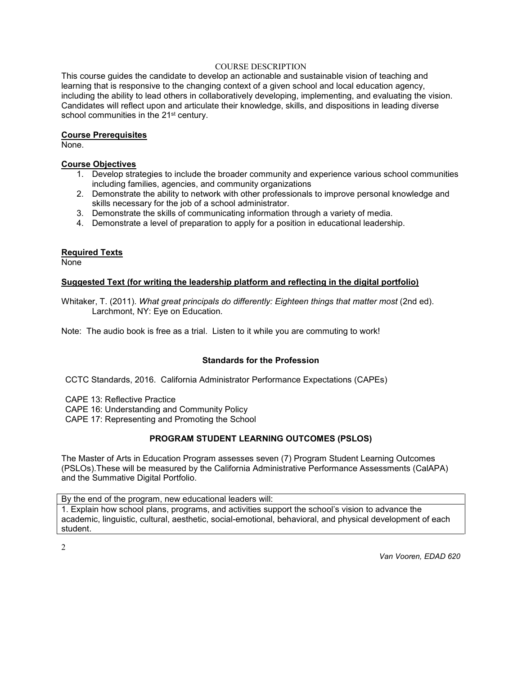#### COURSE DESCRIPTION

This course guides the candidate to develop an actionable and sustainable vision of teaching and learning that is responsive to the changing context of a given school and local education agency, including the ability to lead others in collaboratively developing, implementing, and evaluating the vision. Candidates will reflect upon and articulate their knowledge, skills, and dispositions in leading diverse school communities in the 21<sup>st</sup> century.

## **Course Prerequisites**

None.

# **Course Objectives**

- 1. Develop strategies to include the broader community and experience various school communities including families, agencies, and community organizations
- 2. Demonstrate the ability to network with other professionals to improve personal knowledge and skills necessary for the job of a school administrator.
- 3. Demonstrate the skills of communicating information through a variety of media.
- 4. Demonstrate a level of preparation to apply for a position in educational leadership.

# **Required Texts**

None

## **Suggested Text (for writing the leadership platform and reflecting in the digital portfolio)**

Whitaker, T. (2011). *What great principals do differently: Eighteen things that matter most* (2nd ed). Larchmont, NY: Eye on Education.

Note: The audio book is free as a trial. Listen to it while you are commuting to work!

# **Standards for the Profession**

CCTC Standards, 2016. California Administrator Performance Expectations (CAPEs)

CAPE 13: Reflective Practice

CAPE 16: Understanding and Community Policy

CAPE 17: Representing and Promoting the School

# **PROGRAM STUDENT LEARNING OUTCOMES (PSLOS)**

The Master of Arts in Education Program assesses seven (7) Program Student Learning Outcomes (PSLOs).These will be measured by the California Administrative Performance Assessments (CalAPA) and the Summative Digital Portfolio.

By the end of the program, new educational leaders will:

1. Explain how school plans, programs, and activities support the school's vision to advance the academic, linguistic, cultural, aesthetic, social-emotional, behavioral, and physical development of each student.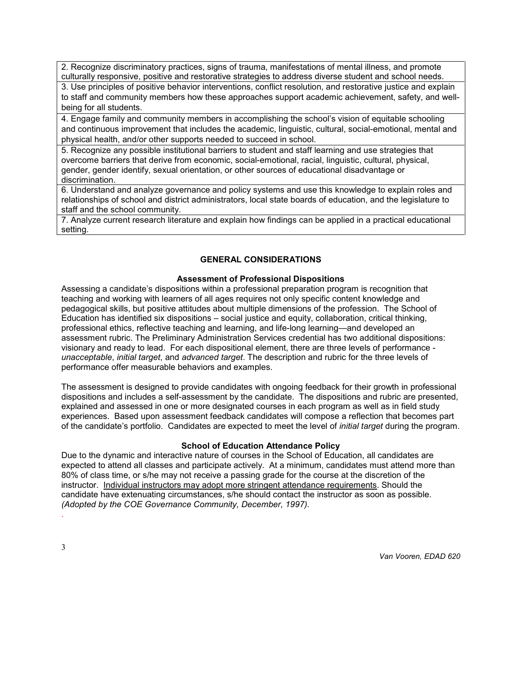2. Recognize discriminatory practices, signs of trauma, manifestations of mental illness, and promote culturally responsive, positive and restorative strategies to address diverse student and school needs.

3. Use principles of positive behavior interventions, conflict resolution, and restorative justice and explain to staff and community members how these approaches support academic achievement, safety, and wellbeing for all students.

4. Engage family and community members in accomplishing the school's vision of equitable schooling and continuous improvement that includes the academic, linguistic, cultural, social-emotional, mental and physical health, and/or other supports needed to succeed in school.

5. Recognize any possible institutional barriers to student and staff learning and use strategies that overcome barriers that derive from economic, social-emotional, racial, linguistic, cultural, physical, gender, gender identify, sexual orientation, or other sources of educational disadvantage or discrimination.

6. Understand and analyze governance and policy systems and use this knowledge to explain roles and relationships of school and district administrators, local state boards of education, and the legislature to staff and the school community.

7. Analyze current research literature and explain how findings can be applied in a practical educational setting.

# **GENERAL CONSIDERATIONS**

## **Assessment of Professional Dispositions**

Assessing a candidate's dispositions within a professional preparation program is recognition that teaching and working with learners of all ages requires not only specific content knowledge and pedagogical skills, but positive attitudes about multiple dimensions of the profession. The School of Education has identified six dispositions – social justice and equity, collaboration, critical thinking, professional ethics, reflective teaching and learning, and life-long learning—and developed an assessment rubric. The Preliminary Administration Services credential has two additional dispositions: visionary and ready to lead. For each dispositional element, there are three levels of performance *unacceptable*, *initial target*, and *advanced target*. The description and rubric for the three levels of performance offer measurable behaviors and examples.

The assessment is designed to provide candidates with ongoing feedback for their growth in professional dispositions and includes a self-assessment by the candidate. The dispositions and rubric are presented, explained and assessed in one or more designated courses in each program as well as in field study experiences. Based upon assessment feedback candidates will compose a reflection that becomes part of the candidate's portfolio. Candidates are expected to meet the level of *initial target* during the program.

# **School of Education Attendance Policy**

Due to the dynamic and interactive nature of courses in the School of Education, all candidates are expected to attend all classes and participate actively. At a minimum, candidates must attend more than 80% of class time, or s/he may not receive a passing grade for the course at the discretion of the instructor. Individual instructors may adopt more stringent attendance requirements. Should the candidate have extenuating circumstances, s/he should contact the instructor as soon as possible. *(Adopted by the COE Governance Community, December, 1997).*

.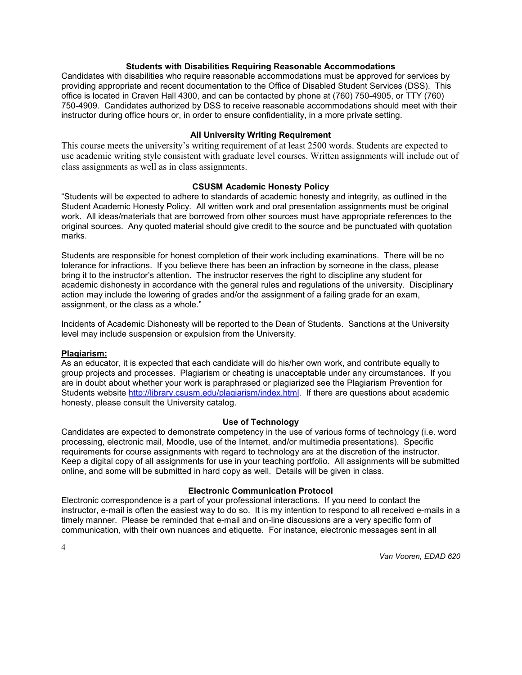#### **Students with Disabilities Requiring Reasonable Accommodations**

Candidates with disabilities who require reasonable accommodations must be approved for services by providing appropriate and recent documentation to the Office of Disabled Student Services (DSS). This office is located in Craven Hall 4300, and can be contacted by phone at (760) 750-4905, or TTY (760) 750-4909. Candidates authorized by DSS to receive reasonable accommodations should meet with their instructor during office hours or, in order to ensure confidentiality, in a more private setting.

## **All University Writing Requirement**

This course meets the university's writing requirement of at least 2500 words. Students are expected to use academic writing style consistent with graduate level courses. Written assignments will include out of class assignments as well as in class assignments.

## **CSUSM Academic Honesty Policy**

"Students will be expected to adhere to standards of academic honesty and integrity, as outlined in the Student Academic Honesty Policy. All written work and oral presentation assignments must be original work. All ideas/materials that are borrowed from other sources must have appropriate references to the original sources. Any quoted material should give credit to the source and be punctuated with quotation marks.

Students are responsible for honest completion of their work including examinations. There will be no tolerance for infractions. If you believe there has been an infraction by someone in the class, please bring it to the instructor's attention. The instructor reserves the right to discipline any student for academic dishonesty in accordance with the general rules and regulations of the university. Disciplinary action may include the lowering of grades and/or the assignment of a failing grade for an exam, assignment, or the class as a whole."

Incidents of Academic Dishonesty will be reported to the Dean of Students. Sanctions at the University level may include suspension or expulsion from the University.

# **Plagiarism:**

As an educator, it is expected that each candidate will do his/her own work, and contribute equally to group projects and processes. Plagiarism or cheating is unacceptable under any circumstances. If you are in doubt about whether your work is paraphrased or plagiarized see the Plagiarism Prevention for Students website [http://library.csusm.edu/plagiarism/index.html.](http://library.csusm.edu/plagiarism/index.html) If there are questions about academic honesty, please consult the University catalog.

#### **Use of Technology**

Candidates are expected to demonstrate competency in the use of various forms of technology (i.e. word processing, electronic mail, Moodle, use of the Internet, and/or multimedia presentations). Specific requirements for course assignments with regard to technology are at the discretion of the instructor. Keep a digital copy of all assignments for use in your teaching portfolio. All assignments will be submitted online, and some will be submitted in hard copy as well. Details will be given in class.

# **Electronic Communication Protocol**

Electronic correspondence is a part of your professional interactions. If you need to contact the instructor, e-mail is often the easiest way to do so. It is my intention to respond to all received e-mails in a timely manner. Please be reminded that e-mail and on-line discussions are a very specific form of communication, with their own nuances and etiquette. For instance, electronic messages sent in all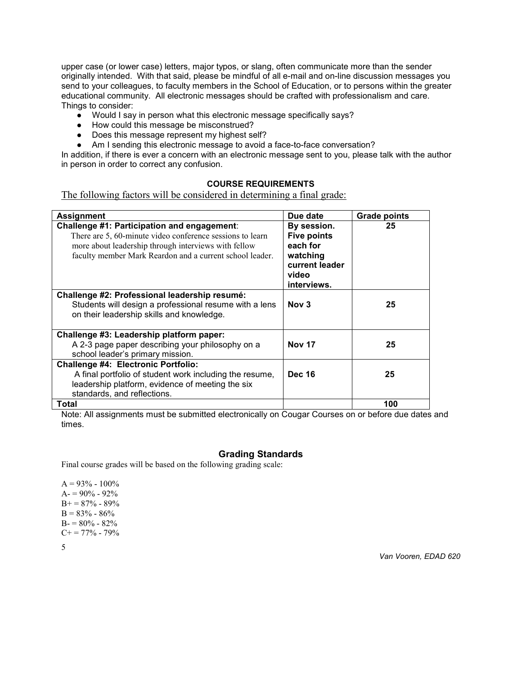upper case (or lower case) letters, major typos, or slang, often communicate more than the sender originally intended. With that said, please be mindful of all e-mail and on-line discussion messages you send to your colleagues, to faculty members in the School of Education, or to persons within the greater educational community. All electronic messages should be crafted with professionalism and care. Things to consider:

- Would I say in person what this electronic message specifically says?
- How could this message be misconstrued?
- Does this message represent my highest self?
- Am I sending this electronic message to avoid a face-to-face conversation?

In addition, if there is ever a concern with an electronic message sent to you, please talk with the author in person in order to correct any confusion.

# **COURSE REQUIREMENTS**

The following factors will be considered in determining a final grade:

| <b>Assignment</b>                                                                                                                                                                                                            | Due date                                                                                            | <b>Grade points</b> |
|------------------------------------------------------------------------------------------------------------------------------------------------------------------------------------------------------------------------------|-----------------------------------------------------------------------------------------------------|---------------------|
| Challenge #1: Participation and engagement:<br>There are 5, 60-minute video conference sessions to learn<br>more about leadership through interviews with fellow<br>faculty member Mark Reardon and a current school leader. | By session.<br><b>Five points</b><br>each for<br>watching<br>current leader<br>video<br>interviews. | 25                  |
| Challenge #2: Professional leadership resumé:<br>Students will design a professional resume with a lens<br>on their leadership skills and knowledge.                                                                         | Nov <sub>3</sub>                                                                                    | 25                  |
| Challenge #3: Leadership platform paper:<br>A 2-3 page paper describing your philosophy on a<br>school leader's primary mission.                                                                                             | <b>Nov 17</b>                                                                                       | 25                  |
| <b>Challenge #4: Electronic Portfolio:</b><br>A final portfolio of student work including the resume,<br>leadership platform, evidence of meeting the six<br>standards, and reflections.                                     | <b>Dec 16</b>                                                                                       | 25                  |
| Total                                                                                                                                                                                                                        |                                                                                                     | 100                 |

Note: All assignments must be submitted electronically on Cougar Courses on or before due dates and times.

## **Grading Standards**

Final course grades will be based on the following grading scale:

 $A = 93% - 100%$  $A = 90\% - 92\%$  $B+=87\% - 89\%$  $B = 83% - 86%$  $B = 80\% - 82\%$  $C+=77\%$  - 79%

5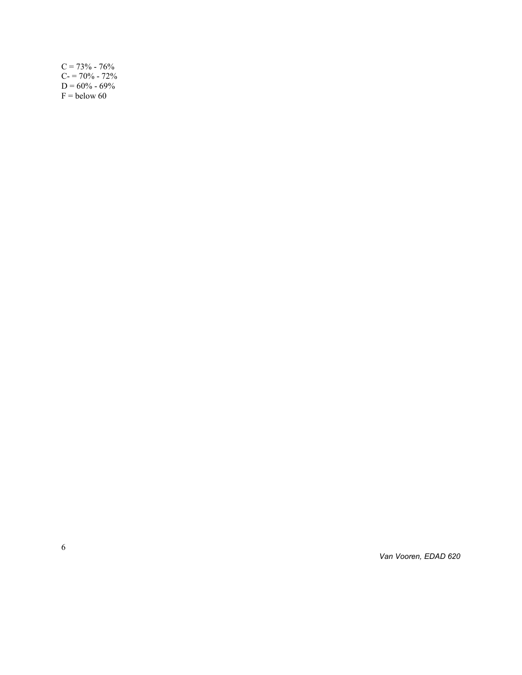| $C = 73\% - 76\%$ |
|-------------------|
| $C = 70\% - 72\%$ |
| $D = 60\% - 69\%$ |
| $F =$ below 60    |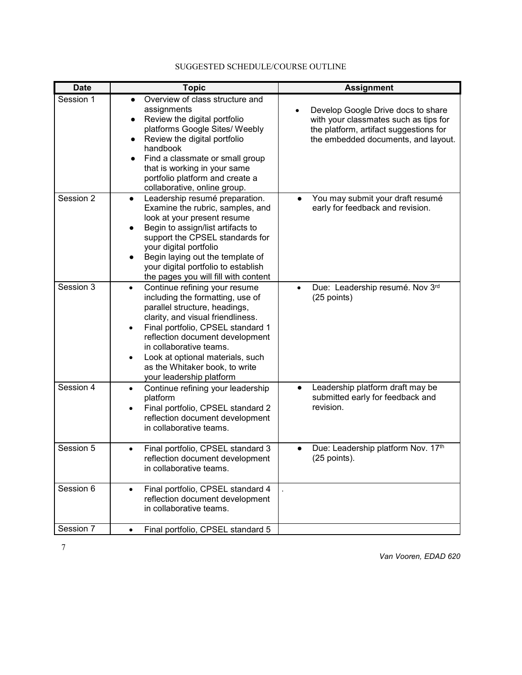| <b>Date</b> | <b>Topic</b>                                                                                                                                                                                                                                                                                                                                                           | <b>Assignment</b>                                                                                                                                                         |
|-------------|------------------------------------------------------------------------------------------------------------------------------------------------------------------------------------------------------------------------------------------------------------------------------------------------------------------------------------------------------------------------|---------------------------------------------------------------------------------------------------------------------------------------------------------------------------|
| Session 1   | Overview of class structure and<br>assignments<br>Review the digital portfolio<br>$\bullet$<br>platforms Google Sites/ Weebly<br>Review the digital portfolio<br>handbook<br>Find a classmate or small group<br>that is working in your same<br>portfolio platform and create a<br>collaborative, online group.                                                        | Develop Google Drive docs to share<br>$\bullet$<br>with your classmates such as tips for<br>the platform, artifact suggestions for<br>the embedded documents, and layout. |
| Session 2   | Leadership resumé preparation.<br>$\bullet$<br>Examine the rubric, samples, and<br>look at your present resume<br>Begin to assign/list artifacts to<br>support the CPSEL standards for<br>your digital portfolio<br>Begin laying out the template of<br>your digital portfolio to establish<br>the pages you will fill with content                                    | You may submit your draft resumé<br>$\bullet$<br>early for feedback and revision.                                                                                         |
| Session 3   | Continue refining your resume<br>$\bullet$<br>including the formatting, use of<br>parallel structure, headings,<br>clarity, and visual friendliness.<br>Final portfolio, CPSEL standard 1<br>$\bullet$<br>reflection document development<br>in collaborative teams.<br>Look at optional materials, such<br>as the Whitaker book, to write<br>your leadership platform | Due: Leadership resumé. Nov 3rd<br>(25 points)                                                                                                                            |
| Session 4   | Continue refining your leadership<br>$\bullet$<br>platform<br>Final portfolio, CPSEL standard 2<br>reflection document development<br>in collaborative teams.                                                                                                                                                                                                          | Leadership platform draft may be<br>$\bullet$<br>submitted early for feedback and<br>revision.                                                                            |
| Session 5   | Final portfolio, CPSEL standard 3<br>reflection document development<br>in collaborative teams.                                                                                                                                                                                                                                                                        | Due: Leadership platform Nov. 17th<br>$\bullet$<br>$(25$ points).                                                                                                         |
| Session 6   | Final portfolio, CPSEL standard 4<br>$\bullet$<br>reflection document development<br>in collaborative teams.                                                                                                                                                                                                                                                           |                                                                                                                                                                           |
| Session 7   | Final portfolio, CPSEL standard 5<br>$\bullet$                                                                                                                                                                                                                                                                                                                         |                                                                                                                                                                           |

# SUGGESTED SCHEDULE/COURSE OUTLINE